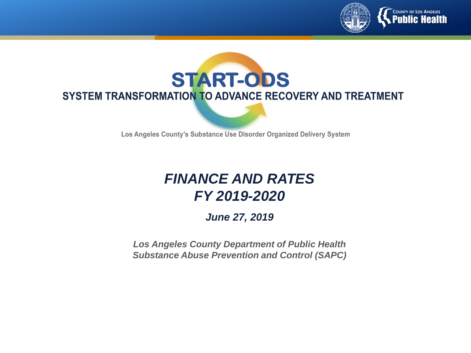



Los Angeles County's Substance Use Disorder Organized Delivery System

#### *FINANCE AND RATES FY 2019-2020*

*June 27, 2019*

*Los Angeles County Department of Public Health Substance Abuse Prevention and Control (SAPC)*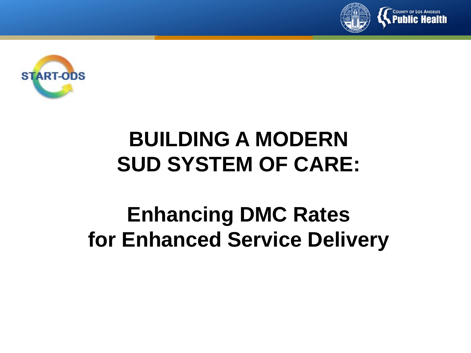



# **BUILDING A MODERN SUD SYSTEM OF CARE:**

# **Enhancing DMC Rates for Enhanced Service Delivery**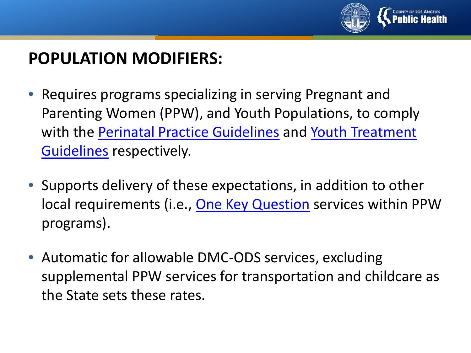

## **POPULATION MODIFIERS:**

- Requires programs specializing in serving Pregnant and Parenting Women (PPW), and Youth Populations, to comply [with the Perinatal Practice Guidelines](https://www.dhcs.ca.gov/individuals/Documents/Youth_Treatment_Guidelines.pdf) and Youth Treatment Guidelines respectively.
- Supports delivery of these expectations, in addition to other local requirements (i.e., [One Key Question](https://powertodecide.org/one-key-question) services within PPW programs).
- Automatic for allowable DMC-ODS services, excluding supplemental PPW services for transportation and childcare as the State sets these rates.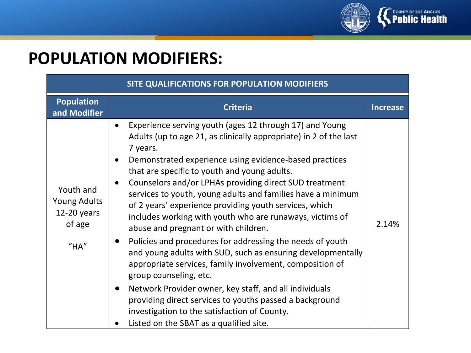

## **POPULATION MODIFIERS:**

| SITE QUALIFICATIONS FOR POPULATION MODIFIERS                           |                                                                                                                                                                                                                                                                                                                                                                                                                                                                                                                                                                                                                                                                                                                                                                                                                                                                                                                                                                                                       |                 |  |  |  |
|------------------------------------------------------------------------|-------------------------------------------------------------------------------------------------------------------------------------------------------------------------------------------------------------------------------------------------------------------------------------------------------------------------------------------------------------------------------------------------------------------------------------------------------------------------------------------------------------------------------------------------------------------------------------------------------------------------------------------------------------------------------------------------------------------------------------------------------------------------------------------------------------------------------------------------------------------------------------------------------------------------------------------------------------------------------------------------------|-----------------|--|--|--|
| <b>Population</b><br>and Modifier                                      | <b>Criteria</b>                                                                                                                                                                                                                                                                                                                                                                                                                                                                                                                                                                                                                                                                                                                                                                                                                                                                                                                                                                                       | <b>Increase</b> |  |  |  |
| Youth and<br><b>Young Adults</b><br>$12-20$ years<br>of age<br>$H$ HA" | Experience serving youth (ages 12 through 17) and Young<br>$\bullet$<br>Adults (up to age 21, as clinically appropriate) in 2 of the last<br>7 years.<br>Demonstrated experience using evidence-based practices<br>$\bullet$<br>that are specific to youth and young adults.<br>Counselors and/or LPHAs providing direct SUD treatment<br>services to youth, young adults and families have a minimum<br>of 2 years' experience providing youth services, which<br>includes working with youth who are runaways, victims of<br>abuse and pregnant or with children.<br>Policies and procedures for addressing the needs of youth<br>and young adults with SUD, such as ensuring developmentally<br>appropriate services, family involvement, composition of<br>group counseling, etc.<br>Network Provider owner, key staff, and all individuals<br>providing direct services to youths passed a background<br>investigation to the satisfaction of County.<br>Listed on the SBAT as a qualified site. | 2.14%           |  |  |  |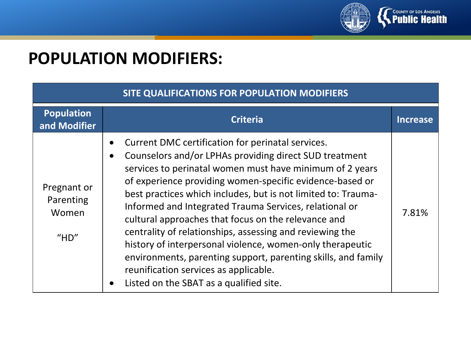

## **POPULATION MODIFIERS:**

| SITE QUALIFICATIONS FOR POPULATION MODIFIERS |                                                                                                                                                                                                                                                                                                                                                                                                                                                                                                                                                                                                                                                                                                                                            |                 |  |  |
|----------------------------------------------|--------------------------------------------------------------------------------------------------------------------------------------------------------------------------------------------------------------------------------------------------------------------------------------------------------------------------------------------------------------------------------------------------------------------------------------------------------------------------------------------------------------------------------------------------------------------------------------------------------------------------------------------------------------------------------------------------------------------------------------------|-----------------|--|--|
| <b>Population</b><br>and Modifier            | <b>Criteria</b>                                                                                                                                                                                                                                                                                                                                                                                                                                                                                                                                                                                                                                                                                                                            | <b>Increase</b> |  |  |
| Pregnant or<br>Parenting<br>Women<br>$H$ HD" | Current DMC certification for perinatal services.<br>$\bullet$<br>Counselors and/or LPHAs providing direct SUD treatment<br>$\bullet$<br>services to perinatal women must have minimum of 2 years<br>of experience providing women-specific evidence-based or<br>best practices which includes, but is not limited to: Trauma-<br>Informed and Integrated Trauma Services, relational or<br>cultural approaches that focus on the relevance and<br>centrality of relationships, assessing and reviewing the<br>history of interpersonal violence, women-only therapeutic<br>environments, parenting support, parenting skills, and family<br>reunification services as applicable.<br>Listed on the SBAT as a qualified site.<br>$\bullet$ | 7.81%           |  |  |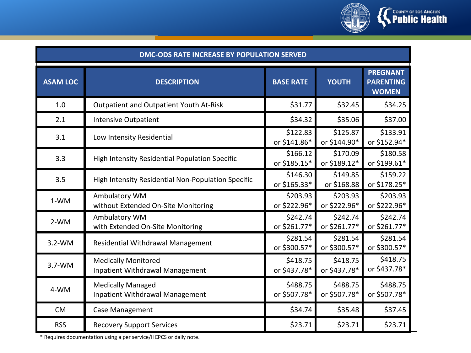

| DMC-ODS RATE INCREASE BY POPULATION SERVED |                                                                      |                          |                          |                                                     |  |  |
|--------------------------------------------|----------------------------------------------------------------------|--------------------------|--------------------------|-----------------------------------------------------|--|--|
| <b>ASAM LOC</b>                            | <b>DESCRIPTION</b>                                                   | <b>BASE RATE</b>         | <b>YOUTH</b>             | <b>PREGNANT</b><br><b>PARENTING</b><br><b>WOMEN</b> |  |  |
| 1.0                                        | Outpatient and Outpatient Youth At-Risk                              | \$31.77                  | \$32.45                  | \$34.25                                             |  |  |
| 2.1                                        | <b>Intensive Outpatient</b>                                          | \$34.32                  | \$35.06                  | \$37.00                                             |  |  |
| 3.1                                        | Low Intensity Residential                                            | \$122.83<br>or \$141.86* | \$125.87<br>or \$144.90* | \$133.91<br>or \$152.94*                            |  |  |
| 3.3                                        | High Intensity Residential Population Specific                       | \$166.12<br>or \$185.15* | \$170.09<br>or \$189.12* | \$180.58<br>or \$199.61*                            |  |  |
| 3.5                                        | High Intensity Residential Non-Population Specific                   | \$146.30<br>or \$165.33* | \$149.85<br>or \$168.88  | \$159.22<br>or \$178.25*                            |  |  |
| $1-WM$                                     | Ambulatory WM<br>without Extended On-Site Monitoring                 | \$203.93<br>or \$222.96* | \$203.93<br>or \$222.96* | \$203.93<br>or \$222.96*                            |  |  |
| $2-WM$                                     | Ambulatory WM<br>with Extended On-Site Monitoring                    | \$242.74<br>or \$261.77* | \$242.74<br>or \$261.77* | \$242.74<br>or \$261.77*                            |  |  |
| $3.2-WM$                                   | Residential Withdrawal Management                                    | \$281.54<br>or \$300.57* | \$281.54<br>or \$300.57* | \$281.54<br>or \$300.57*                            |  |  |
| $3.7-WM$                                   | <b>Medically Monitored</b><br><b>Inpatient Withdrawal Management</b> | \$418.75<br>or \$437.78* | \$418.75<br>or \$437.78* | \$418.75<br>or \$437.78*                            |  |  |
| 4-WM                                       | <b>Medically Managed</b><br><b>Inpatient Withdrawal Management</b>   | \$488.75<br>or \$507.78* | \$488.75<br>or \$507.78* | \$488.75<br>or \$507.78*                            |  |  |
| <b>CM</b>                                  | Case Management                                                      | \$34.74                  | \$35.48                  | \$37.45                                             |  |  |
| <b>RSS</b>                                 | <b>Recovery Support Services</b>                                     | \$23.71                  | \$23.71                  | \$23.71                                             |  |  |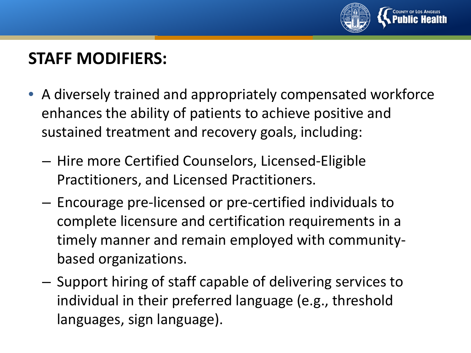

## **STAFF MODIFIERS:**

- A diversely trained and appropriately compensated workforce enhances the ability of patients to achieve positive and sustained treatment and recovery goals, including:
	- Hire more Certified Counselors, Licensed-Eligible Practitioners, and Licensed Practitioners.
	- Encourage pre-licensed or pre-certified individuals to complete licensure and certification requirements in a timely manner and remain employed with communitybased organizations.
	- Support hiring of staff capable of delivering services to individual in their preferred language (e.g., threshold languages, sign language).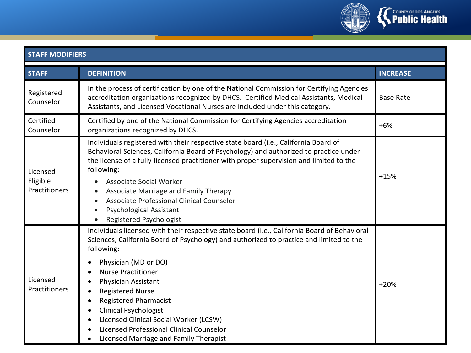

| <b>STAFF MODIFIERS</b>                 |                                                                                                                                                                                                                                                                                                                                                                                                                                                                                                                                                                               |                  |  |  |  |
|----------------------------------------|-------------------------------------------------------------------------------------------------------------------------------------------------------------------------------------------------------------------------------------------------------------------------------------------------------------------------------------------------------------------------------------------------------------------------------------------------------------------------------------------------------------------------------------------------------------------------------|------------------|--|--|--|
| <b>STAFF</b>                           | <b>DEFINITION</b>                                                                                                                                                                                                                                                                                                                                                                                                                                                                                                                                                             | <b>INCREASE</b>  |  |  |  |
| Registered<br>Counselor                | In the process of certification by one of the National Commission for Certifying Agencies<br>accreditation organizations recognized by DHCS. Certified Medical Assistants, Medical<br>Assistants, and Licensed Vocational Nurses are included under this category.                                                                                                                                                                                                                                                                                                            | <b>Base Rate</b> |  |  |  |
| Certified<br>Counselor                 | Certified by one of the National Commission for Certifying Agencies accreditation<br>organizations recognized by DHCS.                                                                                                                                                                                                                                                                                                                                                                                                                                                        | $+6%$            |  |  |  |
| Licensed-<br>Eligible<br>Practitioners | Individuals registered with their respective state board (i.e., California Board of<br>Behavioral Sciences, California Board of Psychology) and authorized to practice under<br>the license of a fully-licensed practitioner with proper supervision and limited to the<br>following:<br><b>Associate Social Worker</b><br>Associate Marriage and Family Therapy<br>Associate Professional Clinical Counselor<br><b>Psychological Assistant</b><br><b>Registered Psychologist</b>                                                                                             | $+15%$           |  |  |  |
| Licensed<br>Practitioners              | Individuals licensed with their respective state board (i.e., California Board of Behavioral<br>Sciences, California Board of Psychology) and authorized to practice and limited to the<br>following:<br>Physician (MD or DO)<br><b>Nurse Practitioner</b><br>$\bullet$<br>Physician Assistant<br><b>Registered Nurse</b><br>$\bullet$<br><b>Registered Pharmacist</b><br>$\bullet$<br><b>Clinical Psychologist</b><br>$\bullet$<br>Licensed Clinical Social Worker (LCSW)<br>$\bullet$<br>Licensed Professional Clinical Counselor<br>Licensed Marriage and Family Therapist | $+20%$           |  |  |  |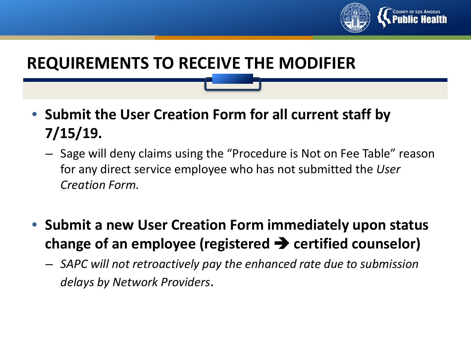

## **REQUIREMENTS TO RECEIVE THE MODIFIER**

- **Submit the User Creation Form for all current staff by 7/15/19.** 
	- Sage will deny claims using the "Procedure is Not on Fee Table" reason for any direct service employee who has not submitted the *User Creation Form.*
- **Submit a new User Creation Form immediately upon status change of an employee (registered**  $\rightarrow$  **certified counselor)** 
	- *SAPC will not retroactively pay the enhanced rate due to submission delays by Network Providers*.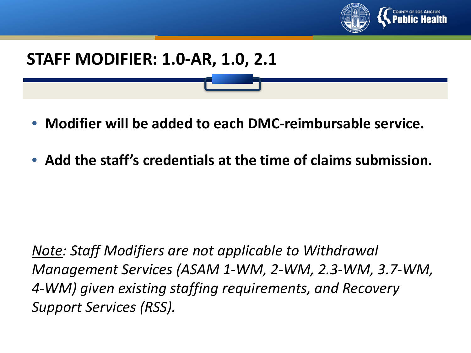

## **STAFF MODIFIER: 1.0-AR, 1.0, 2.1**

- **Modifier will be added to each DMC-reimbursable service.**
- **Add the staff's credentials at the time of claims submission.**

*Note: Staff Modifiers are not applicable to Withdrawal Management Services (ASAM 1-WM, 2-WM, 2.3-WM, 3.7-WM, 4-WM) given existing staffing requirements, and Recovery Support Services (RSS).*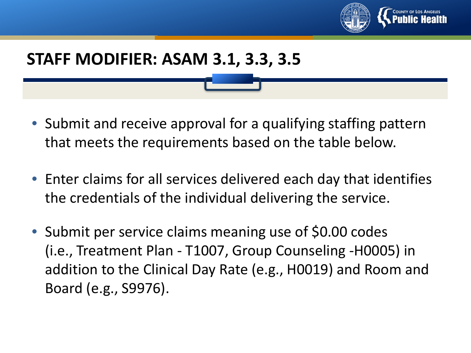

### **STAFF MODIFIER: ASAM 3.1, 3.3, 3.5**

- Submit and receive approval for a qualifying staffing pattern that meets the requirements based on the table below.
- Enter claims for all services delivered each day that identifies the credentials of the individual delivering the service.
- Submit per service claims meaning use of \$0.00 codes (i.e., Treatment Plan - T1007, Group Counseling -H0005) in addition to the Clinical Day Rate (e.g., H0019) and Room and Board (e.g., S9976).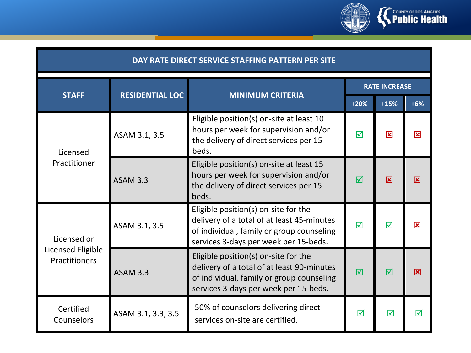

#### **DAY RATE DIRECT SERVICE STAFFING PATTERN PER SITE**

| <b>STAFF</b>                       | <b>RESIDENTIAL LOC</b> | <b>MINIMUM CRITERIA</b>                                                                                                                                                  | <b>RATE INCREASE</b> |                         |       |
|------------------------------------|------------------------|--------------------------------------------------------------------------------------------------------------------------------------------------------------------------|----------------------|-------------------------|-------|
|                                    |                        |                                                                                                                                                                          | $+20%$               | $+15%$                  | $+6%$ |
| Licensed<br>Practitioner           | ASAM 3.1, 3.5          | Eligible position(s) on-site at least 10<br>hours per week for supervision and/or<br>the delivery of direct services per 15-<br>beds.                                    |                      | $\mathbf{\overline{x}}$ | ⊠     |
|                                    | <b>ASAM 3.3</b>        | Eligible position(s) on-site at least 15<br>hours per week for supervision and/or<br>the delivery of direct services per 15-<br>beds.                                    |                      | 冈                       | ⊠     |
| Licensed or                        | ASAM 3.1, 3.5          | Eligible position(s) on-site for the<br>delivery of a total of at least 45-minutes<br>of individual, family or group counseling<br>services 3-days per week per 15-beds. | $\triangledown$      | ☑                       | 冈     |
| Licensed Eligible<br>Practitioners | <b>ASAM 3.3</b>        | Eligible position(s) on-site for the<br>delivery of a total of at least 90-minutes<br>of individual, family or group counseling<br>services 3-days per week per 15-beds. | $\triangledown$      | ⊠                       | ⊠     |
| Certified<br>Counselors            | ASAM 3.1, 3.3, 3.5     | 50% of counselors delivering direct<br>services on-site are certified.                                                                                                   | ☑                    | ☑                       | ⊠     |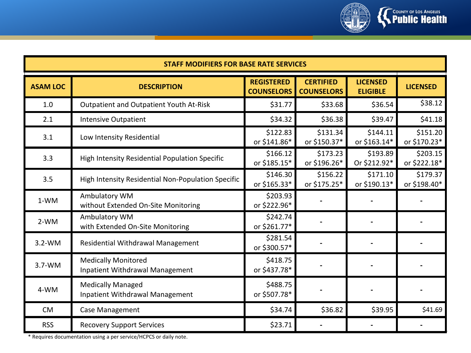

| <b>STAFF MODIFIERS FOR BASE RATE SERVICES</b> |                                                                      |                                        |                                       |                                    |                          |  |
|-----------------------------------------------|----------------------------------------------------------------------|----------------------------------------|---------------------------------------|------------------------------------|--------------------------|--|
| <b>ASAM LOC</b>                               | <b>DESCRIPTION</b>                                                   | <b>REGISTERED</b><br><b>COUNSELORS</b> | <b>CERTIFIED</b><br><b>COUNSELORS</b> | <b>LICENSED</b><br><b>ELIGIBLE</b> | <b>LICENSED</b>          |  |
| 1.0                                           | Outpatient and Outpatient Youth At-Risk                              | \$31.77                                | \$33.68                               | \$36.54                            | \$38.12                  |  |
| 2.1                                           | <b>Intensive Outpatient</b>                                          | \$34.32                                | \$36.38                               | \$39.47                            | \$41.18                  |  |
| 3.1                                           | Low Intensity Residential                                            | \$122.83<br>or \$141.86*               | \$131.34<br>or \$150.37*              | \$144.11<br>or \$163.14*           | \$151.20<br>or \$170.23* |  |
| 3.3                                           | High Intensity Residential Population Specific                       | \$166.12<br>or \$185.15*               | \$173.23<br>or \$196.26*              | \$193.89<br>Or \$212.92*           | \$203.15<br>or \$222.18* |  |
| 3.5                                           | High Intensity Residential Non-Population Specific                   | \$146.30<br>or \$165.33*               | \$156.22<br>or \$175.25*              | \$171.10<br>or \$190.13*           | \$179.37<br>or \$198.40* |  |
| $1-WM$                                        | Ambulatory WM<br>without Extended On-Site Monitoring                 | \$203.93<br>or \$222.96*               |                                       |                                    |                          |  |
| $2-WM$                                        | Ambulatory WM<br>with Extended On-Site Monitoring                    | \$242.74<br>or \$261.77*               |                                       |                                    |                          |  |
| $3.2-WM$                                      | Residential Withdrawal Management                                    | \$281.54<br>or \$300.57*               |                                       |                                    |                          |  |
| $3.7-WM$                                      | <b>Medically Monitored</b><br><b>Inpatient Withdrawal Management</b> | \$418.75<br>or \$437.78*               |                                       |                                    |                          |  |
| 4-WM                                          | <b>Medically Managed</b><br>Inpatient Withdrawal Management          | \$488.75<br>or \$507.78*               |                                       |                                    |                          |  |
| <b>CM</b>                                     | Case Management                                                      | \$34.74                                | \$36.82                               | \$39.95                            | \$41.69                  |  |
| <b>RSS</b>                                    | <b>Recovery Support Services</b>                                     | \$23.71                                |                                       |                                    |                          |  |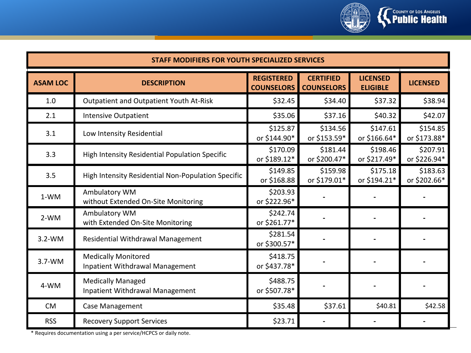

| <b>STAFF MODIFIERS FOR YOUTH SPECIALIZED SERVICES</b> |                                                                    |                                        |                                       |                                    |                          |  |
|-------------------------------------------------------|--------------------------------------------------------------------|----------------------------------------|---------------------------------------|------------------------------------|--------------------------|--|
| <b>ASAM LOC</b>                                       | <b>DESCRIPTION</b>                                                 | <b>REGISTERED</b><br><b>COUNSELORS</b> | <b>CERTIFIED</b><br><b>COUNSELORS</b> | <b>LICENSED</b><br><b>ELIGIBLE</b> | <b>LICENSED</b>          |  |
| 1.0                                                   | Outpatient and Outpatient Youth At-Risk                            | \$32.45                                | \$34.40                               | \$37.32                            | \$38.94                  |  |
| 2.1                                                   | <b>Intensive Outpatient</b>                                        | \$35.06                                | \$37.16                               | \$40.32                            | \$42.07                  |  |
| 3.1                                                   | Low Intensity Residential                                          | \$125.87<br>or \$144.90*               | \$134.56<br>or \$153.59*              | \$147.61<br>or \$166.64*           | \$154.85<br>or \$173.88* |  |
| 3.3                                                   | High Intensity Residential Population Specific                     | \$170.09<br>or \$189.12*               | \$181.44<br>or \$200.47*              | \$198.46<br>or \$217.49*           | \$207.91<br>or \$226.94* |  |
| 3.5                                                   | High Intensity Residential Non-Population Specific                 | \$149.85<br>or \$168.88                | \$159.98<br>or \$179.01*              | \$175.18<br>or \$194.21*           | \$183.63<br>or \$202.66* |  |
| 1-WM                                                  | Ambulatory WM<br>without Extended On-Site Monitoring               | \$203.93<br>or \$222.96*               |                                       |                                    |                          |  |
| $2-WM$                                                | Ambulatory WM<br>with Extended On-Site Monitoring                  | \$242.74<br>or \$261.77*               |                                       |                                    |                          |  |
| $3.2-WM$                                              | Residential Withdrawal Management                                  | \$281.54<br>or \$300.57*               |                                       |                                    |                          |  |
| $3.7-WM$                                              | <b>Medically Monitored</b><br>Inpatient Withdrawal Management      | \$418.75<br>or \$437.78*               |                                       |                                    |                          |  |
| 4-WM                                                  | <b>Medically Managed</b><br><b>Inpatient Withdrawal Management</b> | \$488.75<br>or \$507.78*               |                                       |                                    |                          |  |
| <b>CM</b>                                             | Case Management                                                    | \$35.48                                | \$37.61                               | \$40.81                            | \$42.58                  |  |
| <b>RSS</b>                                            | <b>Recovery Support Services</b>                                   | \$23.71                                |                                       |                                    |                          |  |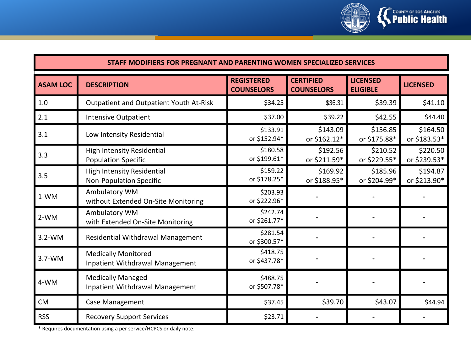

| STAFF MODIFIERS FOR PREGNANT AND PARENTING WOMEN SPECIALIZED SERVICES |                                                                     |                                        |                                       |                                    |                          |
|-----------------------------------------------------------------------|---------------------------------------------------------------------|----------------------------------------|---------------------------------------|------------------------------------|--------------------------|
| <b>ASAM LOC</b>                                                       | <b>DESCRIPTION</b>                                                  | <b>REGISTERED</b><br><b>COUNSELORS</b> | <b>CERTIFIED</b><br><b>COUNSELORS</b> | <b>LICENSED</b><br><b>ELIGIBLE</b> | <b>LICENSED</b>          |
| 1.0                                                                   | Outpatient and Outpatient Youth At-Risk                             | \$34.25                                | \$36.31                               | \$39.39                            | \$41.10                  |
| 2.1                                                                   | <b>Intensive Outpatient</b>                                         | \$37.00                                | \$39.22                               | \$42.55                            | \$44.40                  |
| 3.1                                                                   | Low Intensity Residential                                           | \$133.91<br>or \$152.94*               | \$143.09<br>or \$162.12*              | \$156.85<br>or \$175.88*           | \$164.50<br>or \$183.53* |
| 3.3                                                                   | <b>High Intensity Residential</b><br><b>Population Specific</b>     | \$180.58<br>or \$199.61*               | \$192.56<br>or \$211.59*              | \$210.52<br>or \$229.55*           | \$220.50<br>or \$239.53* |
| 3.5                                                                   | <b>High Intensity Residential</b><br><b>Non-Population Specific</b> | \$159.22<br>or \$178.25*               | \$169.92<br>or \$188.95*              | \$185.96<br>or \$204.99*           | \$194.87<br>or \$213.90* |
| 1-WM                                                                  | Ambulatory WM<br>without Extended On-Site Monitoring                | \$203.93<br>or \$222.96*               |                                       |                                    |                          |
| $2-WM$                                                                | Ambulatory WM<br>with Extended On-Site Monitoring                   | \$242.74<br>or \$261.77*               |                                       |                                    |                          |
| $3.2-WM$                                                              | <b>Residential Withdrawal Management</b>                            | \$281.54<br>or \$300.57*               |                                       |                                    |                          |
| $3.7-WM$                                                              | <b>Medically Monitored</b><br>Inpatient Withdrawal Management       | \$418.75<br>or \$437.78*               |                                       |                                    |                          |
| 4-WM                                                                  | <b>Medically Managed</b><br><b>Inpatient Withdrawal Management</b>  | \$488.75<br>or \$507.78*               |                                       |                                    |                          |
| <b>CM</b>                                                             | Case Management                                                     | \$37.45                                | \$39.70                               | \$43.07                            | \$44.94                  |
| <b>RSS</b>                                                            | <b>Recovery Support Services</b>                                    | \$23.71                                |                                       |                                    |                          |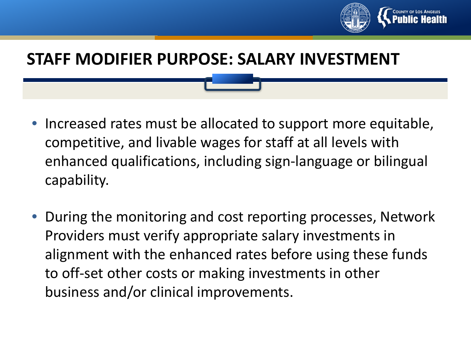

## **STAFF MODIFIER PURPOSE: SALARY INVESTMENT**

- Increased rates must be allocated to support more equitable, competitive, and livable wages for staff at all levels with enhanced qualifications, including sign-language or bilingual capability.
- During the monitoring and cost reporting processes, Network Providers must verify appropriate salary investments in alignment with the enhanced rates before using these funds to off-set other costs or making investments in other business and/or clinical improvements.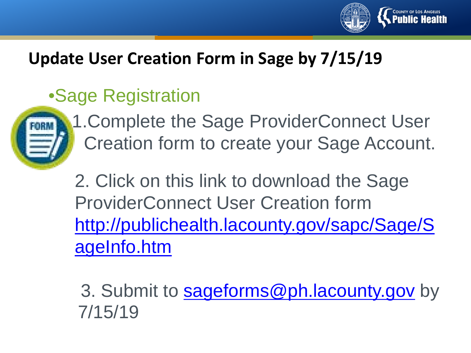

## **Update User Creation Form in Sage by 7/15/19**

## •Sage Registration



1.Complete the Sage ProviderConnect User Creation form to create your Sage Account.

2. Click on this link to download the Sage ProviderConnect User Creation form [http://publichealth.lacounty.gov/sapc/Sage/S](http://publichealth.lacounty.gov/sapc/Sage/SageInfo.htm) ageInfo.htm

3. Submit to **[sageforms@ph.lacounty.gov](mailto:sageforms@ph.lacounty.gov)** by 7/15/19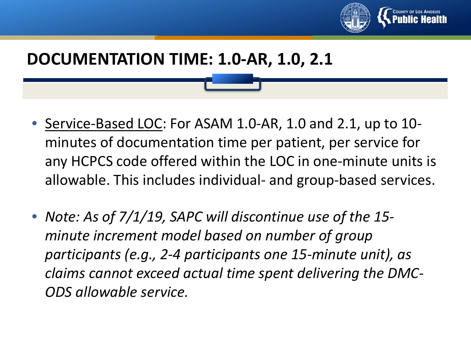

## **DOCUMENTATION TIME: 1.0-AR, 1.0, 2.1**

- Service-Based LOC: For ASAM 1.0-AR, 1.0 and 2.1, up to 10 minutes of documentation time per patient, per service for any HCPCS code offered within the LOC in one-minute units is allowable. This includes individual- and group-based services.
- *Note: As of 7/1/19, SAPC will discontinue use of the 15 minute increment model based on number of group participants (e.g., 2-4 participants one 15-minute unit), as claims cannot exceed actual time spent delivering the DMC-ODS allowable service.*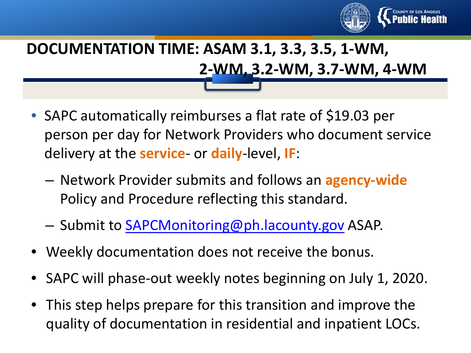

## **DOCUMENTATION TIME: ASAM 3.1, 3.3, 3.5, 1-WM, 2-WM, 3.2-WM, 3.7-WM, 4-WM**

- SAPC automatically reimburses a flat rate of \$19.03 per person per day for Network Providers who document service delivery at the **service**- or **daily**-level, **IF**:
	- Network Provider submits and follows an **agency-wide**  Policy and Procedure reflecting this standard.
	- Submit to [SAPCMonitoring@ph.lacounty.gov](mailto:SAPCMonitoring@ph.lacounty.gov) ASAP.
- Weekly documentation does not receive the bonus.
- SAPC will phase-out weekly notes beginning on July 1, 2020.
- This step helps prepare for this transition and improve the quality of documentation in residential and inpatient LOCs.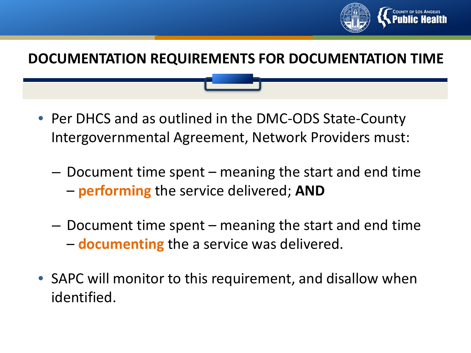

#### **DOCUMENTATION REQUIREMENTS FOR DOCUMENTATION TIME**

- Per DHCS and as outlined in the DMC-ODS State-County Intergovernmental Agreement, Network Providers must:
	- Document time spent meaning the start and end time – **performing** the service delivered; **AND**
	- Document time spent meaning the start and end time – **documenting** the a service was delivered.
- SAPC will monitor to this requirement, and disallow when identified.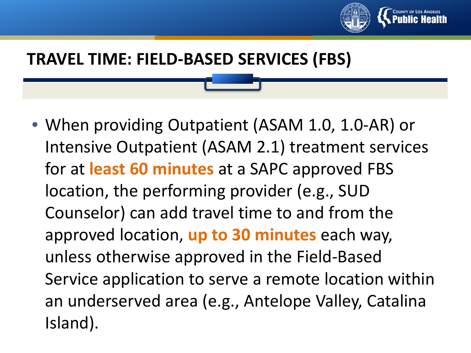

## **TRAVEL TIME: FIELD-BASED SERVICES (FBS)**

• When providing Outpatient (ASAM 1.0, 1.0-AR) or Intensive Outpatient (ASAM 2.1) treatment services for at **least 60 minutes** at a SAPC approved FBS location, the performing provider (e.g., SUD Counselor) can add travel time to and from the approved location, **up to 30 minutes** each way, unless otherwise approved in the Field-Based Service application to serve a remote location within an underserved area (e.g., Antelope Valley, Catalina Island).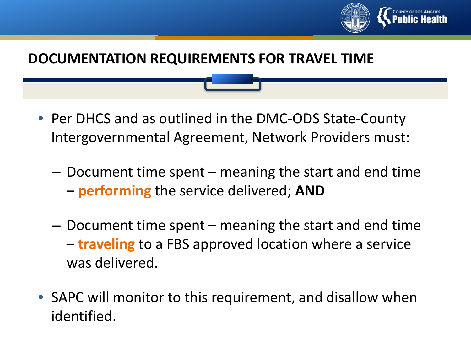

#### **DOCUMENTATION REQUIREMENTS FOR TRAVEL TIME**

- Per DHCS and as outlined in the DMC-ODS State-County Intergovernmental Agreement, Network Providers must:
	- Document time spent meaning the start and end time – **performing** the service delivered; **AND**
	- Document time spent meaning the start and end time – **traveling** to a FBS approved location where a service was delivered.
- SAPC will monitor to this requirement, and disallow when identified.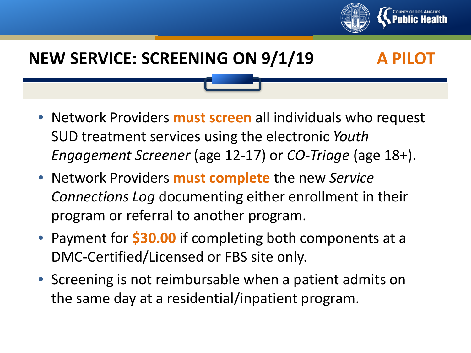

## **NEW SERVICE: SCREENING ON 9/1/19 A PILOT**

- Network Providers **must screen** all individuals who request SUD treatment services using the electronic *Youth Engagement Screener* (age 12-17) or *CO-Triage* (age 18+).
- Network Providers **must complete** the new *Service Connections Log* documenting either enrollment in their program or referral to another program.
- Payment for **\$30.00** if completing both components at a DMC-Certified/Licensed or FBS site only.
- Screening is not reimbursable when a patient admits on the same day at a residential/inpatient program.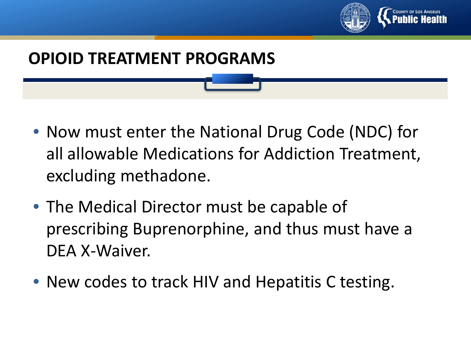

## **OPIOID TREATMENT PROGRAMS**

- Now must enter the National Drug Code (NDC) for all allowable Medications for Addiction Treatment, excluding methadone.
- The Medical Director must be capable of prescribing Buprenorphine, and thus must have a DEA X-Waiver.
- New codes to track HIV and Hepatitis C testing.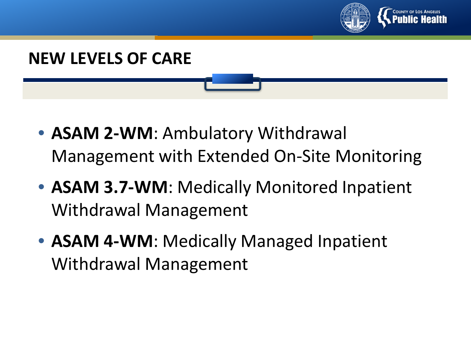



- **ASAM 2-WM**: Ambulatory Withdrawal Management with Extended On-Site Monitoring
- **ASAM 3.7-WM**: Medically Monitored Inpatient Withdrawal Management
- **ASAM 4-WM**: Medically Managed Inpatient Withdrawal Management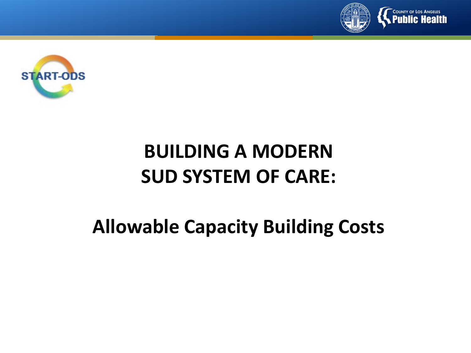



## **BUILDING A MODERN SUD SYSTEM OF CARE:**

## **Allowable Capacity Building Costs**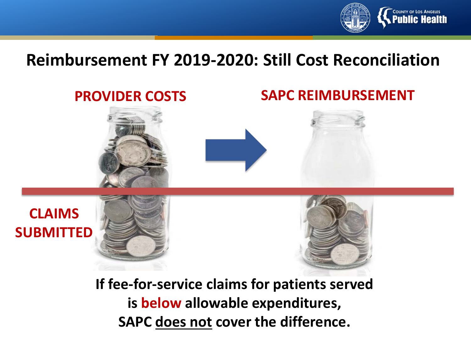

## **Reimbursement FY 2019-2020: Still Cost Reconciliation**



**If fee-for-service claims for patients served is below allowable expenditures, SAPC does not cover the difference.**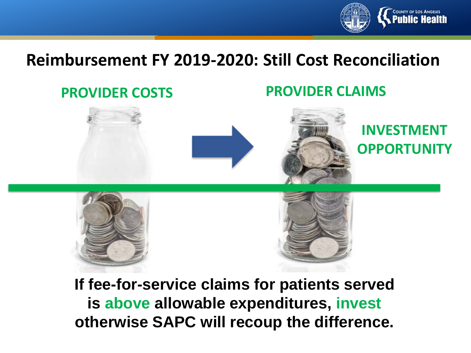

## **Reimbursement FY 2019-2020: Still Cost Reconciliation**

#### **PROVIDER COSTS PROVIDER CLAIMS**



**INVESTMENT OPPORTUNITY**





**If fee-for-service claims for patients served is above allowable expenditures, invest otherwise SAPC will recoup the difference.**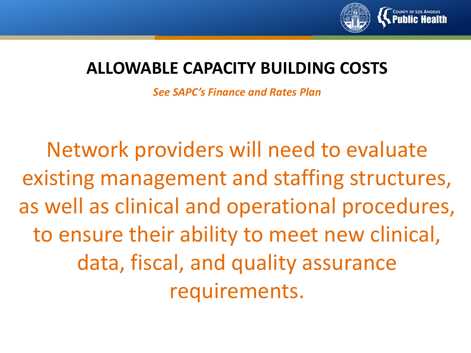

## **ALLOWABLE CAPACITY BUILDING COSTS**

*See SAPC's Finance and Rates Plan*

Network providers will need to evaluate existing management and staffing structures, as well as clinical and operational procedures, to ensure their ability to meet new clinical, data, fiscal, and quality assurance requirements.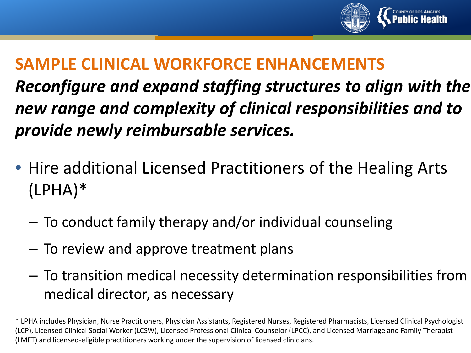

*Reconfigure and expand staffing structures to align with the new range and complexity of clinical responsibilities and to provide newly reimbursable services.* 

- Hire additional Licensed Practitioners of the Healing Arts (LPHA)\*
	- To conduct family therapy and/or individual counseling
	- To review and approve treatment plans
	- To transition medical necessity determination responsibilities from medical director, as necessary

<sup>\*</sup> LPHA includes Physician, Nurse Practitioners, Physician Assistants, Registered Nurses, Registered Pharmacists, Licensed Clinical Psychologist (LCP), Licensed Clinical Social Worker (LCSW), Licensed Professional Clinical Counselor (LPCC), and Licensed Marriage and Family Therapist (LMFT) and licensed-eligible practitioners working under the supervision of licensed clinicians.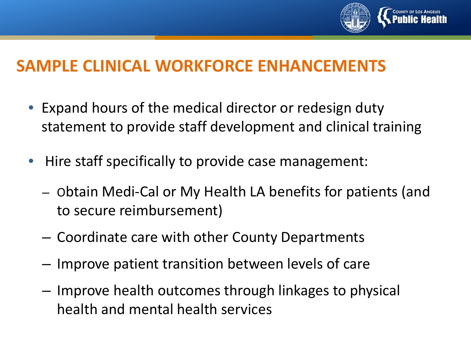

- Expand hours of the medical director or redesign duty statement to provide staff development and clinical training
- Hire staff specifically to provide case management:
	- Obtain Medi-Cal or My Health LA benefits for patients (and to secure reimbursement)
	- Coordinate care with other County Departments
	- Improve patient transition between levels of care
	- Improve health outcomes through linkages to physical health and mental health services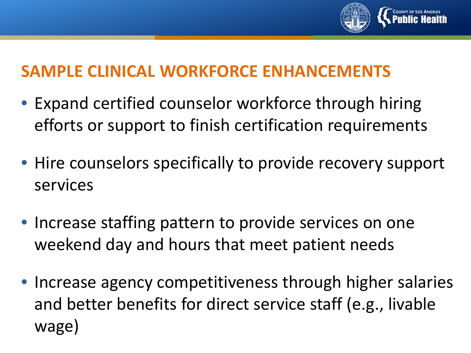

- Expand certified counselor workforce through hiring efforts or support to finish certification requirements
- Hire counselors specifically to provide recovery support services
- Increase staffing pattern to provide services on one weekend day and hours that meet patient needs
- Increase agency competitiveness through higher salaries and better benefits for direct service staff (e.g., livable wage)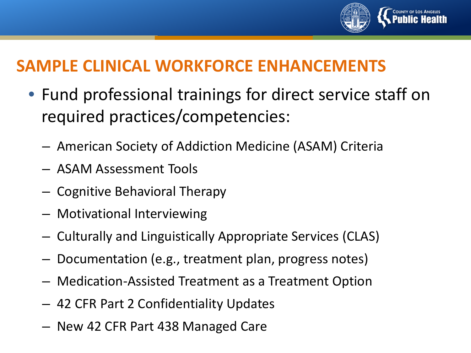

- Fund professional trainings for direct service staff on required practices/competencies:
	- American Society of Addiction Medicine (ASAM) Criteria
	- ASAM Assessment Tools
	- Cognitive Behavioral Therapy
	- Motivational Interviewing
	- Culturally and Linguistically Appropriate Services (CLAS)
	- Documentation (e.g., treatment plan, progress notes)
	- Medication-Assisted Treatment as a Treatment Option
	- 42 CFR Part 2 Confidentiality Updates
	- New 42 CFR Part 438 Managed Care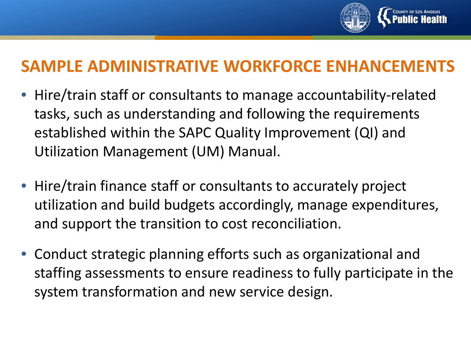

## **SAMPLE ADMINISTRATIVE WORKFORCE ENHANCEMENTS**

- Hire/train staff or consultants to manage accountability-related tasks, such as understanding and following the requirements established within the SAPC Quality Improvement (QI) and Utilization Management (UM) Manual.
- Hire/train finance staff or consultants to accurately project utilization and build budgets accordingly, manage expenditures, and support the transition to cost reconciliation.
- Conduct strategic planning efforts such as organizational and staffing assessments to ensure readiness to fully participate in the system transformation and new service design.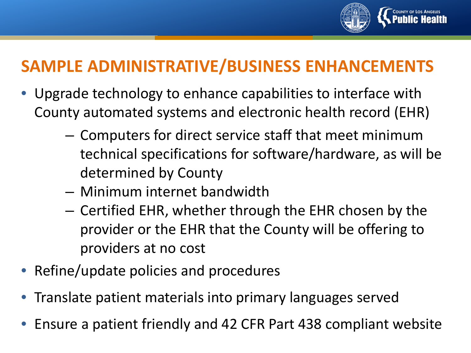

## **SAMPLE ADMINISTRATIVE/BUSINESS ENHANCEMENTS**

- Upgrade technology to enhance capabilities to interface with County automated systems and electronic health record (EHR)
	- Computers for direct service staff that meet minimum technical specifications for software/hardware, as will be determined by County
	- Minimum internet bandwidth
	- Certified EHR, whether through the EHR chosen by the provider or the EHR that the County will be offering to providers at no cost
- Refine/update policies and procedures
- Translate patient materials into primary languages served
- Ensure a patient friendly and 42 CFR Part 438 compliant website